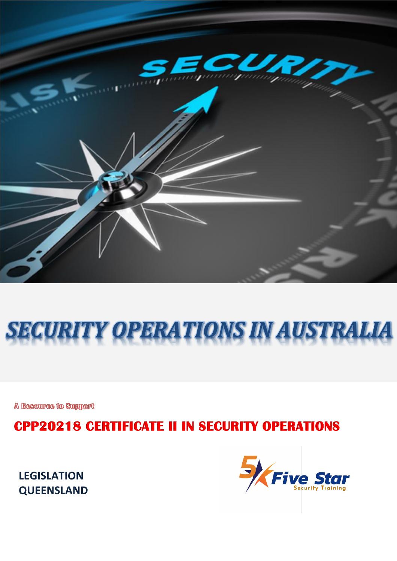

# *SECURITY OPERATIONS IN AUSTRALIA*

A Resource to Support

**CPP20218 CERTIFICATE II IN SECURITY OPERATIONS**

**LEGISLATION QUEENSLAND**

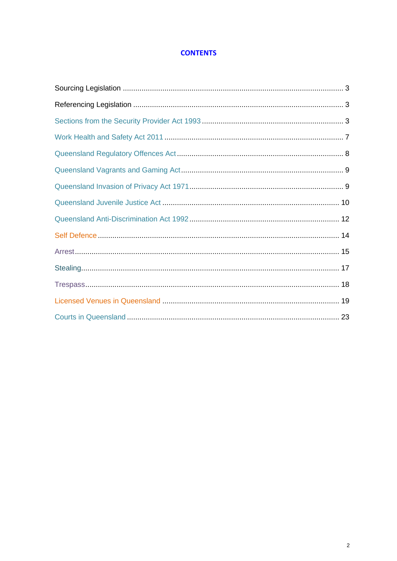#### **CONTENTS**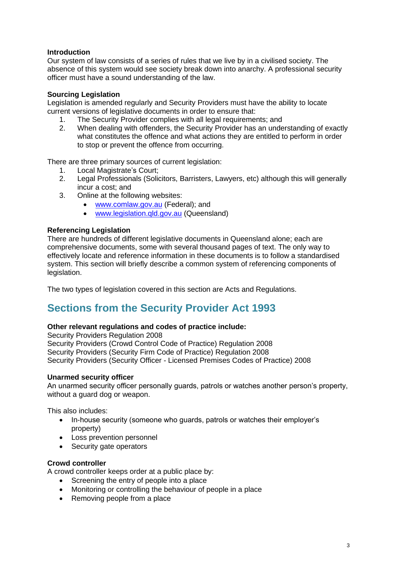#### **Introduction**

Our system of law consists of a series of rules that we live by in a civilised society. The absence of this system would see society break down into anarchy. A professional security officer must have a sound understanding of the law.

#### **Sourcing Legislation**

Legislation is amended regularly and Security Providers must have the ability to locate current versions of legislative documents in order to ensure that:

- 1. The Security Provider complies with all legal requirements; and<br>2. When dealing with offenders, the Security Provider has an unde
- 2. When dealing with offenders, the Security Provider has an understanding of exactly what constitutes the offence and what actions they are entitled to perform in order to stop or prevent the offence from occurring.

There are three primary sources of current legislation:

- 1. Local Magistrate's Court;
- 2. Legal Professionals (Solicitors, Barristers, Lawyers, etc) although this will generally incur a cost; and
- 3. Online at the following websites:
	- [www.comlaw.gov.au](http://www.comlaw.gov.au/) (Federal); and
	- [www.legislation.qld.gov.au](http://www.legislation.qld.gov.au/) (Queensland)

#### **Referencing Legislation**

There are hundreds of different legislative documents in Queensland alone; each are comprehensive documents, some with several thousand pages of text. The only way to effectively locate and reference information in these documents is to follow a standardised system. This section will briefly describe a common system of referencing components of legislation.

The two types of legislation covered in this section are Acts and Regulations.

## **Sections from the Security Provider Act 1993**

#### **Other relevant regulations and codes of practice include:**

Security Providers Regulation 2008 Security Providers (Crowd Control Code of Practice) Regulation 2008 Security Providers (Security Firm Code of Practice) Regulation 2008 Security Providers (Security Officer - Licensed Premises Codes of Practice) 2008

#### **Unarmed security officer**

An unarmed security officer personally guards, patrols or watches another person's property, without a guard dog or weapon.

This also includes:

- In-house security (someone who guards, patrols or watches their employer's property)
- Loss prevention personnel
- Security gate operators

#### **Crowd controller**

A crowd controller keeps order at a public place by:

- Screening the entry of people into a place
- Monitoring or controlling the behaviour of people in a place
- Removing people from a place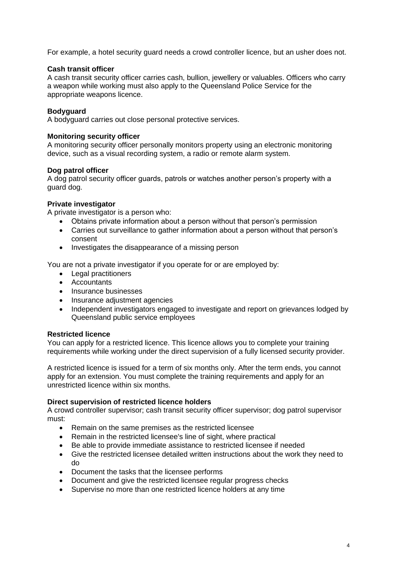For example, a hotel security guard needs a crowd controller licence, but an usher does not.

#### **Cash transit officer**

A cash transit security officer carries cash, bullion, jewellery or valuables. Officers who carry a weapon while working must also apply to the Queensland Police Service for the appropriate weapons licence.

#### **Bodyguard**

A bodyguard carries out close personal protective services.

#### **Monitoring security officer**

A monitoring security officer personally monitors property using an electronic monitoring device, such as a visual recording system, a radio or remote alarm system.

#### **Dog patrol officer**

A dog patrol security officer guards, patrols or watches another person's property with a guard dog.

#### **Private investigator**

A private investigator is a person who:

- Obtains private information about a person without that person's permission
- Carries out surveillance to gather information about a person without that person's consent
- Investigates the disappearance of a missing person

You are not a private investigator if you operate for or are employed by:

- Legal practitioners
- Accountants
- Insurance businesses
- Insurance adjustment agencies
- Independent investigators engaged to investigate and report on grievances lodged by Queensland public service employees

#### **Restricted licence**

You can apply for a restricted licence. This licence allows you to complete your training requirements while working under the direct supervision of a fully licensed security provider.

A restricted licence is issued for a term of six months only. After the term ends, you cannot apply for an extension. You must complete the training requirements and apply for an unrestricted licence within six months.

#### **Direct supervision of restricted licence holders**

A crowd controller supervisor; cash transit security officer supervisor; dog patrol supervisor must:

- Remain on the same premises as the restricted licensee
- Remain in the restricted licensee's line of sight, where practical
- Be able to provide immediate assistance to restricted licensee if needed
- Give the restricted licensee detailed written instructions about the work they need to do
- Document the tasks that the licensee performs
- Document and give the restricted licensee regular progress checks
- Supervise no more than one restricted licence holders at any time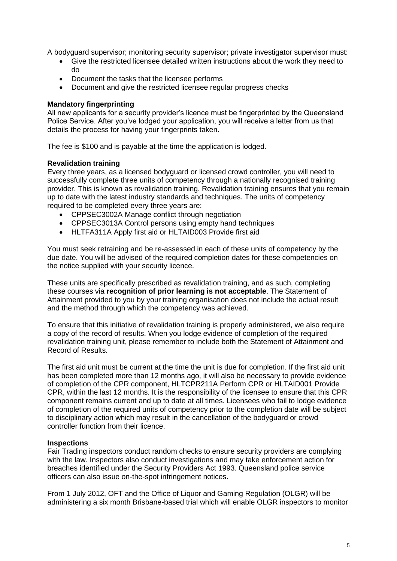A bodyguard supervisor; monitoring security supervisor; private investigator supervisor must:

- Give the restricted licensee detailed written instructions about the work they need to do
- Document the tasks that the licensee performs
- Document and give the restricted licensee regular progress checks

#### **Mandatory fingerprinting**

All new applicants for a security provider's licence must be fingerprinted by the Queensland Police Service. After you've lodged your application, you will receive a letter from us that details the process for having your fingerprints taken.

The fee is \$100 and is payable at the time the application is lodged.

#### **Revalidation training**

Every three years, as a licensed bodyguard or licensed crowd controller, you will need to successfully complete three units of competency through a nationally recognised training provider. This is known as revalidation training. Revalidation training ensures that you remain up to date with the latest industry standards and techniques. The units of competency required to be completed every three years are:

- CPPSEC3002A Manage conflict through negotiation
- CPPSEC3013A Control persons using empty hand techniques
- HLTFA311A Apply first aid or HLTAID003 Provide first aid

You must seek retraining and be re-assessed in each of these units of competency by the due date. You will be advised of the required completion dates for these competencies on the notice supplied with your security licence.

These units are specifically prescribed as revalidation training, and as such, completing these courses via **recognition of prior learning is not acceptable**. The Statement of Attainment provided to you by your training organisation does not include the actual result and the method through which the competency was achieved.

To ensure that this initiative of revalidation training is properly administered, we also require a copy of the record of results. When you lodge evidence of completion of the required revalidation training unit, please remember to include both the Statement of Attainment and Record of Results.

The first aid unit must be current at the time the unit is due for completion. If the first aid unit has been completed more than 12 months ago, it will also be necessary to provide evidence of completion of the CPR component, HLTCPR211A Perform CPR or HLTAID001 Provide CPR, within the last 12 months. It is the responsibility of the licensee to ensure that this CPR component remains current and up to date at all times. Licensees who fail to lodge evidence of completion of the required units of competency prior to the completion date will be subject to disciplinary action which may result in the cancellation of the bodyguard or crowd controller function from their licence.

#### **Inspections**

Fair Trading inspectors conduct random checks to ensure security providers are complying with the law. Inspectors also conduct investigations and may take enforcement action for breaches identified under the Security Providers Act 1993. Queensland police service officers can also issue on-the-spot infringement notices.

From 1 July 2012, OFT and the Office of Liquor and Gaming Regulation (OLGR) will be administering a six month Brisbane-based trial which will enable OLGR inspectors to monitor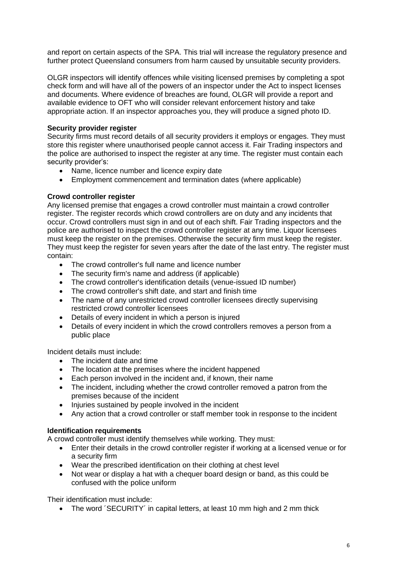and report on certain aspects of the SPA. This trial will increase the regulatory presence and further protect Queensland consumers from harm caused by unsuitable security providers.

OLGR inspectors will identify offences while visiting licensed premises by completing a spot check form and will have all of the powers of an inspector under the Act to inspect licenses and documents. Where evidence of breaches are found, OLGR will provide a report and available evidence to OFT who will consider relevant enforcement history and take appropriate action. If an inspector approaches you, they will produce a signed photo ID.

#### **Security provider register**

Security firms must record details of all security providers it employs or engages. They must store this register where unauthorised people cannot access it. Fair Trading inspectors and the police are authorised to inspect the register at any time. The register must contain each security provider's:

- Name, licence number and licence expiry date
- Employment commencement and termination dates (where applicable)

#### **Crowd controller register**

Any licensed premise that engages a crowd controller must maintain a crowd controller register. The register records which crowd controllers are on duty and any incidents that occur. Crowd controllers must sign in and out of each shift. Fair Trading inspectors and the police are authorised to inspect the crowd controller register at any time. Liquor licensees must keep the register on the premises. Otherwise the security firm must keep the register. They must keep the register for seven years after the date of the last entry. The register must contain:

- The crowd controller's full name and licence number
- The security firm's name and address (if applicable)
- The crowd controller's identification details (venue-issued ID number)
- The crowd controller's shift date, and start and finish time
- The name of any unrestricted crowd controller licensees directly supervising restricted crowd controller licensees
- Details of every incident in which a person is injured
- Details of every incident in which the crowd controllers removes a person from a public place

Incident details must include:

- The incident date and time
- The location at the premises where the incident happened
- Each person involved in the incident and, if known, their name
- The incident, including whether the crowd controller removed a patron from the premises because of the incident
- Injuries sustained by people involved in the incident
- Any action that a crowd controller or staff member took in response to the incident

#### **Identification requirements**

A crowd controller must identify themselves while working. They must:

- Enter their details in the crowd controller register if working at a licensed venue or for a security firm
- Wear the prescribed identification on their clothing at chest level
- Not wear or display a hat with a chequer board design or band, as this could be confused with the police uniform

Their identification must include:

• The word 'SECURITY' in capital letters, at least 10 mm high and 2 mm thick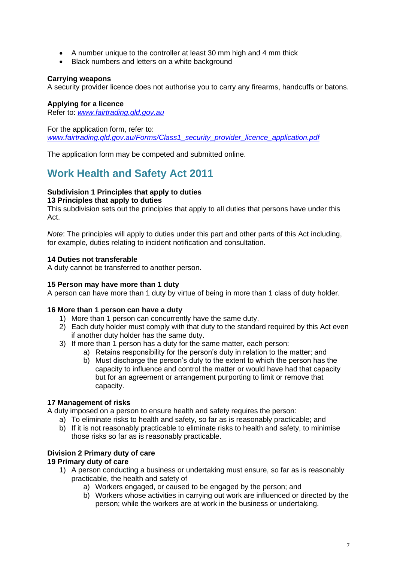- A number unique to the controller at least 30 mm high and 4 mm thick
- Black numbers and letters on a white background

#### **Carrying weapons**

A security provider licence does not authorise you to carry any firearms, handcuffs or batons.

#### **Applying for a licence**

Refer to: *[www.fairtrading.qld.gov.au](file:///D:/Users/richardturner/Dropbox/Working%20Richard/Course%20Development/Learner)*

For the application form, refer to: *[www.fairtrading.qld.gov.au/Forms/Class1\\_security\\_provider\\_licence\\_application.pdf](file:///D:/Users/richardturner/Dropbox/Working%20Richard/Course%20Development/Learner)*

The application form may be competed and submitted online.

## **Work Health and Safety Act 2011**

#### **Subdivision 1 Principles that apply to duties**

**13 Principles that apply to duties**

This subdivision sets out the principles that apply to all duties that persons have under this Act.

*Note*: The principles will apply to duties under this part and other parts of this Act including, for example, duties relating to incident notification and consultation.

#### **14 Duties not transferable**

A duty cannot be transferred to another person.

#### **15 Person may have more than 1 duty**

A person can have more than 1 duty by virtue of being in more than 1 class of duty holder.

#### **16 More than 1 person can have a duty**

- 1) More than 1 person can concurrently have the same duty.
- 2) Each duty holder must comply with that duty to the standard required by this Act even if another duty holder has the same duty.
- 3) If more than 1 person has a duty for the same matter, each person:
	- a) Retains responsibility for the person's duty in relation to the matter; and
	- b) Must discharge the person's duty to the extent to which the person has the capacity to influence and control the matter or would have had that capacity but for an agreement or arrangement purporting to limit or remove that capacity.

#### **17 Management of risks**

A duty imposed on a person to ensure health and safety requires the person:

- a) To eliminate risks to health and safety, so far as is reasonably practicable; and
- b) If it is not reasonably practicable to eliminate risks to health and safety, to minimise those risks so far as is reasonably practicable.

#### **Division 2 Primary duty of care**

#### **19 Primary duty of care**

- 1) A person conducting a business or undertaking must ensure, so far as is reasonably practicable, the health and safety of
	- a) Workers engaged, or caused to be engaged by the person; and
	- b) Workers whose activities in carrying out work are influenced or directed by the person; while the workers are at work in the business or undertaking.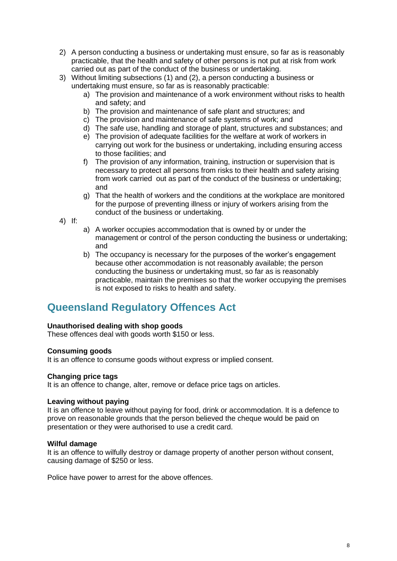- 2) A person conducting a business or undertaking must ensure, so far as is reasonably practicable, that the health and safety of other persons is not put at risk from work carried out as part of the conduct of the business or undertaking.
- 3) Without limiting subsections (1) and (2), a person conducting a business or undertaking must ensure, so far as is reasonably practicable:
	- a) The provision and maintenance of a work environment without risks to health and safety; and
	- b) The provision and maintenance of safe plant and structures; and
	- c) The provision and maintenance of safe systems of work; and
	- d) The safe use, handling and storage of plant, structures and substances; and
	- e) The provision of adequate facilities for the welfare at work of workers in carrying out work for the business or undertaking, including ensuring access to those facilities; and
	- f) The provision of any information, training, instruction or supervision that is necessary to protect all persons from risks to their health and safety arising from work carried out as part of the conduct of the business or undertaking; and
	- g) That the health of workers and the conditions at the workplace are monitored for the purpose of preventing illness or injury of workers arising from the conduct of the business or undertaking.
- 4) If:
- a) A worker occupies accommodation that is owned by or under the management or control of the person conducting the business or undertaking; and
- b) The occupancy is necessary for the purposes of the worker's engagement because other accommodation is not reasonably available; the person conducting the business or undertaking must, so far as is reasonably practicable, maintain the premises so that the worker occupying the premises is not exposed to risks to health and safety.

## **Queensland Regulatory Offences Act**

#### **Unauthorised dealing with shop goods**

These offences deal with goods worth \$150 or less.

#### **Consuming goods**

It is an offence to consume goods without express or implied consent.

#### **Changing price tags**

It is an offence to change, alter, remove or deface price tags on articles.

#### **Leaving without paying**

It is an offence to leave without paying for food, drink or accommodation. It is a defence to prove on reasonable grounds that the person believed the cheque would be paid on presentation or they were authorised to use a credit card.

#### **Wilful damage**

It is an offence to wilfully destroy or damage property of another person without consent, causing damage of \$250 or less.

Police have power to arrest for the above offences.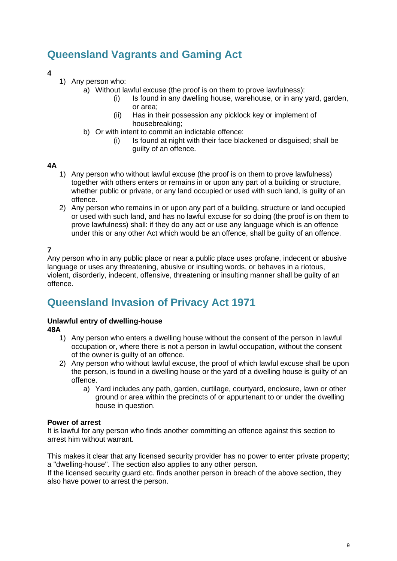## **Queensland Vagrants and Gaming Act**

#### **4**

- 1) Any person who:
	- a) Without lawful excuse (the proof is on them to prove lawfulness):
		- (i) Is found in any dwelling house, warehouse, or in any yard, garden, or area;
		- (ii) Has in their possession any picklock key or implement of housebreaking;
	- b) Or with intent to commit an indictable offence:
		- (i) Is found at night with their face blackened or disguised; shall be guilty of an offence.

#### **4A**

- 1) Any person who without lawful excuse (the proof is on them to prove lawfulness) together with others enters or remains in or upon any part of a building or structure, whether public or private, or any land occupied or used with such land, is guilty of an offence.
- 2) Any person who remains in or upon any part of a building, structure or land occupied or used with such land, and has no lawful excuse for so doing (the proof is on them to prove lawfulness) shall: if they do any act or use any language which is an offence under this or any other Act which would be an offence, shall be guilty of an offence.

#### **7**

Any person who in any public place or near a public place uses profane, indecent or abusive language or uses any threatening, abusive or insulting words, or behaves in a riotous, violent, disorderly, indecent, offensive, threatening or insulting manner shall be guilty of an offence.

## **Queensland Invasion of Privacy Act 1971**

#### **Unlawful entry of dwelling-house**

**48A** 

- 1) Any person who enters a dwelling house without the consent of the person in lawful occupation or, where there is not a person in lawful occupation, without the consent of the owner is guilty of an offence.
- 2) Any person who without lawful excuse, the proof of which lawful excuse shall be upon the person, is found in a dwelling house or the yard of a dwelling house is guilty of an offence.
	- a) Yard includes any path, garden, curtilage, courtyard, enclosure, lawn or other ground or area within the precincts of or appurtenant to or under the dwelling house in question.

#### **Power of arrest**

It is lawful for any person who finds another committing an offence against this section to arrest him without warrant.

This makes it clear that any licensed security provider has no power to enter private property; a "dwelling-house". The section also applies to any other person.

If the licensed security guard etc. finds another person in breach of the above section, they also have power to arrest the person.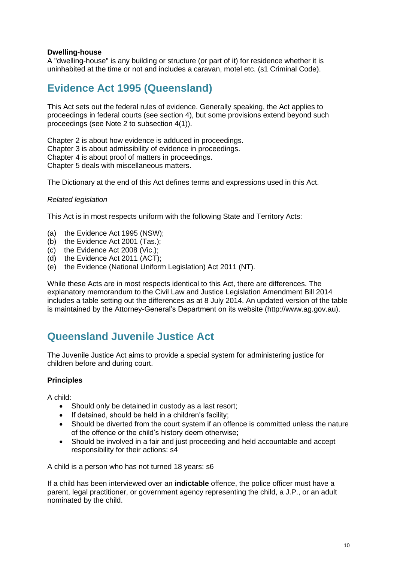#### **Dwelling-house**

A "dwelling-house" is any building or structure (or part of it) for residence whether it is uninhabited at the time or not and includes a caravan, motel etc. (s1 Criminal Code).

## **Evidence Act 1995 (Queensland)**

This Act sets out the federal rules of evidence. Generally speaking, the Act applies to proceedings in federal courts (see section 4), but some provisions extend beyond such proceedings (see Note 2 to subsection 4(1)).

Chapter 2 is about how evidence is adduced in proceedings. Chapter 3 is about admissibility of evidence in proceedings. Chapter 4 is about proof of matters in proceedings. Chapter 5 deals with miscellaneous matters.

The Dictionary at the end of this Act defines terms and expressions used in this Act.

#### *Related legislation*

This Act is in most respects uniform with the following State and Territory Acts:

- (a) the Evidence Act 1995 (NSW);
- (b) the Evidence Act 2001 (Tas.);
- (c) the Evidence Act 2008 (Vic.);
- (d) the Evidence Act 2011 (ACT);
- (e) the Evidence (National Uniform Legislation) Act 2011 (NT).

While these Acts are in most respects identical to this Act, there are differences. The explanatory memorandum to the Civil Law and Justice Legislation Amendment Bill 2014 includes a table setting out the differences as at 8 July 2014. An updated version of the table is maintained by the Attorney-General's Department on its website (http://www.ag.gov.au).

## **Queensland Juvenile Justice Act**

The Juvenile Justice Act aims to provide a special system for administering justice for children before and during court.

#### **Principles**

A child:

- Should only be detained in custody as a last resort;
- If detained, should be held in a children's facility;
- Should be diverted from the court system if an offence is committed unless the nature of the offence or the child's history deem otherwise;
- Should be involved in a fair and just proceeding and held accountable and accept responsibility for their actions: s4

A child is a person who has not turned 18 years: s6

If a child has been interviewed over an **indictable** offence, the police officer must have a parent, legal practitioner, or government agency representing the child, a J.P., or an adult nominated by the child.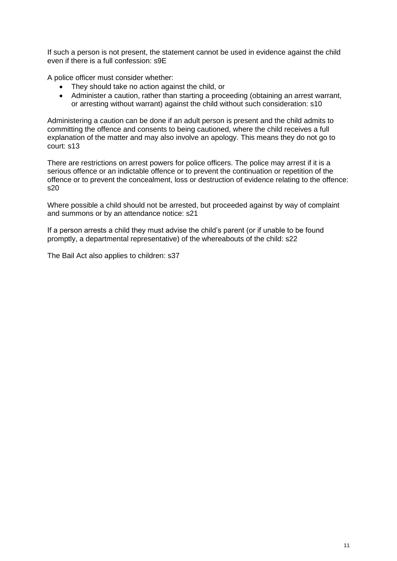If such a person is not present, the statement cannot be used in evidence against the child even if there is a full confession: s9E

A police officer must consider whether:

- They should take no action against the child, or
- Administer a caution, rather than starting a proceeding (obtaining an arrest warrant, or arresting without warrant) against the child without such consideration: s10

Administering a caution can be done if an adult person is present and the child admits to committing the offence and consents to being cautioned, where the child receives a full explanation of the matter and may also involve an apology. This means they do not go to court: s13

There are restrictions on arrest powers for police officers. The police may arrest if it is a serious offence or an indictable offence or to prevent the continuation or repetition of the offence or to prevent the concealment, loss or destruction of evidence relating to the offence: s20

Where possible a child should not be arrested, but proceeded against by way of complaint and summons or by an attendance notice: s21

If a person arrests a child they must advise the child's parent (or if unable to be found promptly, a departmental representative) of the whereabouts of the child: s22

The Bail Act also applies to children: s37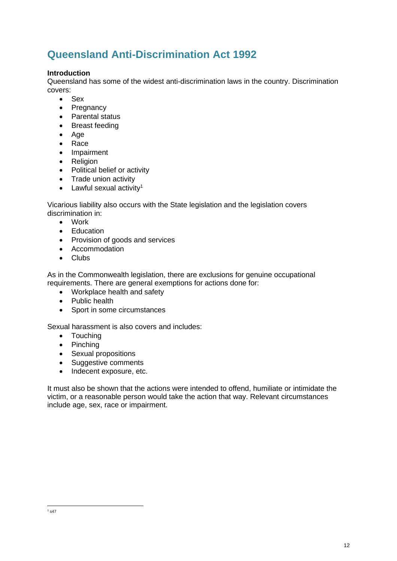## **Queensland Anti-Discrimination Act 1992**

#### **Introduction**

Queensland has some of the widest anti-discrimination laws in the country. Discrimination covers:

- Sex
- Pregnancy
- Parental status
- Breast feeding
- Age
- Race
- Impairment
- Religion
- Political belief or activity
- Trade union activity
- $\bullet$  Lawful sexual activity<sup>1</sup>

Vicarious liability also occurs with the State legislation and the legislation covers discrimination in:

- Work
- Education
- Provision of goods and services
- Accommodation
- Clubs

As in the Commonwealth legislation, there are exclusions for genuine occupational requirements. There are general exemptions for actions done for:

- Workplace health and safety
- Public health
- Sport in some circumstances

Sexual harassment is also covers and includes:

- Touching
- Pinching
- Sexual propositions
- Suggestive comments
- Indecent exposure, etc.

It must also be shown that the actions were intended to offend, humiliate or intimidate the victim, or a reasonable person would take the action that way. Relevant circumstances include age, sex, race or impairment.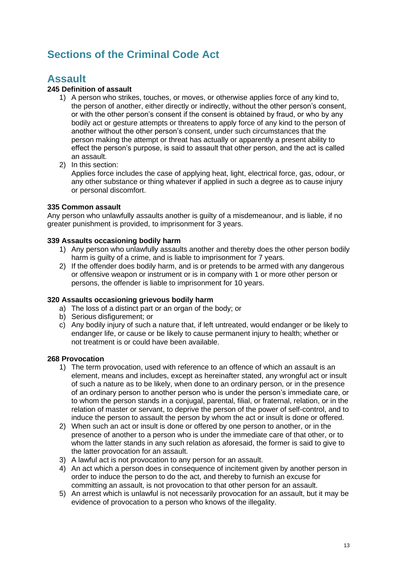## **Sections of the Criminal Code Act**

## **Assault**

#### **245 Definition of assault**

- 1) A person who strikes, touches, or moves, or otherwise applies force of any kind to, the person of another, either directly or indirectly, without the other person's consent, or with the other person's consent if the consent is obtained by fraud, or who by any bodily act or gesture attempts or threatens to apply force of any kind to the person of another without the other person's consent, under such circumstances that the person making the attempt or threat has actually or apparently a present ability to effect the person's purpose, is said to assault that other person, and the act is called an assault.
- 2) In this section:

Applies force includes the case of applying heat, light, electrical force, gas, odour, or any other substance or thing whatever if applied in such a degree as to cause injury or personal discomfort.

#### **335 Common assault**

Any person who unlawfully assaults another is guilty of a misdemeanour, and is liable, if no greater punishment is provided, to imprisonment for 3 years.

#### **339 Assaults occasioning bodily harm**

- 1) Any person who unlawfully assaults another and thereby does the other person bodily harm is guilty of a crime, and is liable to imprisonment for 7 years.
- 2) If the offender does bodily harm, and is or pretends to be armed with any dangerous or offensive weapon or instrument or is in company with 1 or more other person or persons, the offender is liable to imprisonment for 10 years.

#### **320 Assaults occasioning grievous bodily harm**

- a) The loss of a distinct part or an organ of the body; or
- b) Serious disfigurement; or
- c) Any bodily injury of such a nature that, if left untreated, would endanger or be likely to endanger life, or cause or be likely to cause permanent injury to health; whether or not treatment is or could have been available.

#### **268 Provocation**

- 1) The term provocation, used with reference to an offence of which an assault is an element, means and includes, except as hereinafter stated, any wrongful act or insult of such a nature as to be likely, when done to an ordinary person, or in the presence of an ordinary person to another person who is under the person's immediate care, or to whom the person stands in a conjugal, parental, filial, or fraternal, relation, or in the relation of master or servant, to deprive the person of the power of self-control, and to induce the person to assault the person by whom the act or insult is done or offered.
- 2) When such an act or insult is done or offered by one person to another, or in the presence of another to a person who is under the immediate care of that other, or to whom the latter stands in any such relation as aforesaid, the former is said to give to the latter provocation for an assault.
- 3) A lawful act is not provocation to any person for an assault.
- 4) An act which a person does in consequence of incitement given by another person in order to induce the person to do the act, and thereby to furnish an excuse for committing an assault, is not provocation to that other person for an assault.
- 5) An arrest which is unlawful is not necessarily provocation for an assault, but it may be evidence of provocation to a person who knows of the illegality.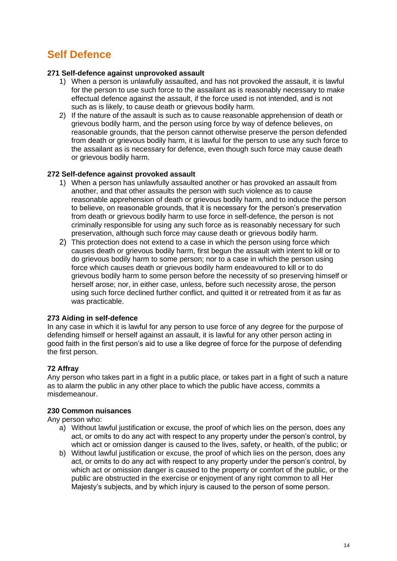## **Self Defence**

#### **271 Self-defence against unprovoked assault**

- 1) When a person is unlawfully assaulted, and has not provoked the assault, it is lawful for the person to use such force to the assailant as is reasonably necessary to make effectual defence against the assault, if the force used is not intended, and is not such as is likely, to cause death or grievous bodily harm.
- 2) If the nature of the assault is such as to cause reasonable apprehension of death or grievous bodily harm, and the person using force by way of defence believes, on reasonable grounds, that the person cannot otherwise preserve the person defended from death or grievous bodily harm, it is lawful for the person to use any such force to the assailant as is necessary for defence, even though such force may cause death or grievous bodily harm.

#### **272 Self-defence against provoked assault**

- 1) When a person has unlawfully assaulted another or has provoked an assault from another, and that other assaults the person with such violence as to cause reasonable apprehension of death or grievous bodily harm, and to induce the person to believe, on reasonable grounds, that it is necessary for the person's preservation from death or grievous bodily harm to use force in self-defence, the person is not criminally responsible for using any such force as is reasonably necessary for such preservation, although such force may cause death or grievous bodily harm.
- 2) This protection does not extend to a case in which the person using force which causes death or grievous bodily harm, first begun the assault with intent to kill or to do grievous bodily harm to some person; nor to a case in which the person using force which causes death or grievous bodily harm endeavoured to kill or to do grievous bodily harm to some person before the necessity of so preserving himself or herself arose; nor, in either case, unless, before such necessity arose, the person using such force declined further conflict, and quitted it or retreated from it as far as was practicable.

#### **273 Aiding in self-defence**

In any case in which it is lawful for any person to use force of any degree for the purpose of defending himself or herself against an assault, it is lawful for any other person acting in good faith in the first person's aid to use a like degree of force for the purpose of defending the first person.

#### **72 Affray**

Any person who takes part in a fight in a public place, or takes part in a fight of such a nature as to alarm the public in any other place to which the public have access, commits a misdemeanour.

#### **230 Common nuisances**

Any person who:

- a) Without lawful justification or excuse, the proof of which lies on the person, does any act, or omits to do any act with respect to any property under the person's control, by which act or omission danger is caused to the lives, safety, or health, of the public; or
- b) Without lawful justification or excuse, the proof of which lies on the person, does any act, or omits to do any act with respect to any property under the person's control, by which act or omission danger is caused to the property or comfort of the public, or the public are obstructed in the exercise or enjoyment of any right common to all Her Majesty's subjects, and by which injury is caused to the person of some person.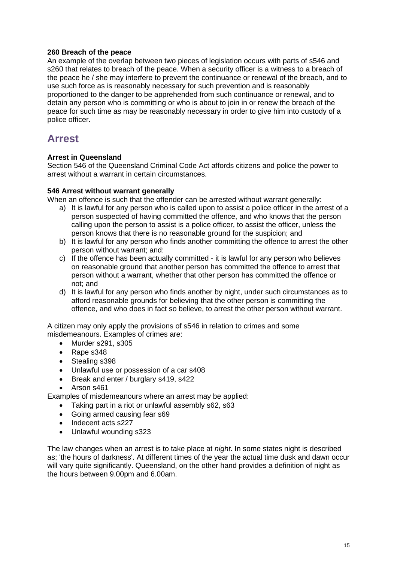#### **260 Breach of the peace**

An example of the overlap between two pieces of legislation occurs with parts of s546 and s260 that relates to breach of the peace. When a security officer is a witness to a breach of the peace he / she may interfere to prevent the continuance or renewal of the breach, and to use such force as is reasonably necessary for such prevention and is reasonably proportioned to the danger to be apprehended from such continuance or renewal, and to detain any person who is committing or who is about to join in or renew the breach of the peace for such time as may be reasonably necessary in order to give him into custody of a police officer.

## **Arrest**

#### **Arrest in Queensland**

Section 546 of the Queensland Criminal Code Act affords citizens and police the power to arrest without a warrant in certain circumstances.

#### **546 Arrest without warrant generally**

When an offence is such that the offender can be arrested without warrant generally:

- a) It is lawful for any person who is called upon to assist a police officer in the arrest of a person suspected of having committed the offence, and who knows that the person calling upon the person to assist is a police officer, to assist the officer, unless the person knows that there is no reasonable ground for the suspicion; and
- b) It is lawful for any person who finds another committing the offence to arrest the other person without warrant; and:
- c) If the offence has been actually committed it is lawful for any person who believes on reasonable ground that another person has committed the offence to arrest that person without a warrant, whether that other person has committed the offence or not; and
- d) It is lawful for any person who finds another by night, under such circumstances as to afford reasonable grounds for believing that the other person is committing the offence, and who does in fact so believe, to arrest the other person without warrant.

A citizen may only apply the provisions of s546 in relation to crimes and some misdemeanours. Examples of crimes are:

- Murder s291, s305
- Rape s348
- Stealing s398
- Unlawful use or possession of a car s408
- Break and enter / burglary s419, s422
- Arson s461

Examples of misdemeanours where an arrest may be applied:

- Taking part in a riot or unlawful assembly s62, s63
- Going armed causing fear s69
- Indecent acts s227
- Unlawful wounding s323

The law changes when an arrest is to take place at *night*. In some states night is described as; 'the hours of darkness'. At different times of the year the actual time dusk and dawn occur will vary quite significantly. Queensland, on the other hand provides a definition of night as the hours between 9.00pm and 6.00am.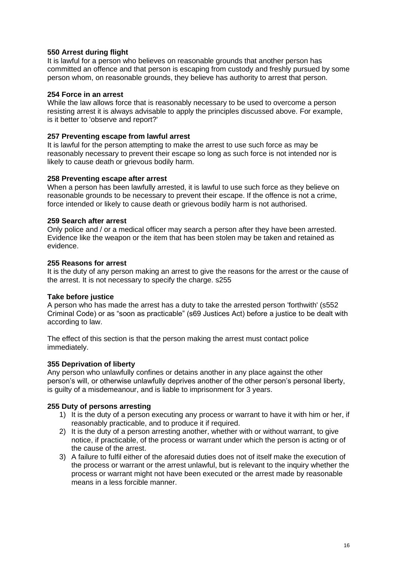#### **550 Arrest during flight**

It is lawful for a person who believes on reasonable grounds that another person has committed an offence and that person is escaping from custody and freshly pursued by some person whom, on reasonable grounds, they believe has authority to arrest that person.

#### **254 Force in an arrest**

While the law allows force that is reasonably necessary to be used to overcome a person resisting arrest it is always advisable to apply the principles discussed above. For example, is it better to 'observe and report?'

#### **257 Preventing escape from lawful arrest**

It is lawful for the person attempting to make the arrest to use such force as may be reasonably necessary to prevent their escape so long as such force is not intended nor is likely to cause death or grievous bodily harm.

#### **258 Preventing escape after arrest**

When a person has been lawfully arrested, it is lawful to use such force as they believe on reasonable grounds to be necessary to prevent their escape. If the offence is not a crime, force intended or likely to cause death or grievous bodily harm is not authorised.

#### **259 Search after arrest**

Only police and / or a medical officer may search a person after they have been arrested. Evidence like the weapon or the item that has been stolen may be taken and retained as evidence.

#### **255 Reasons for arrest**

It is the duty of any person making an arrest to give the reasons for the arrest or the cause of the arrest. It is not necessary to specify the charge. s255

#### **Take before justice**

A person who has made the arrest has a duty to take the arrested person 'forthwith' (s552 Criminal Code) or as "soon as practicable" (s69 Justices Act) before a justice to be dealt with according to law.

The effect of this section is that the person making the arrest must contact police immediately.

#### **355 Deprivation of liberty**

Any person who unlawfully confines or detains another in any place against the other person's will, or otherwise unlawfully deprives another of the other person's personal liberty, is guilty of a misdemeanour, and is liable to imprisonment for 3 years.

#### **255 Duty of persons arresting**

- 1) It is the duty of a person executing any process or warrant to have it with him or her, if reasonably practicable, and to produce it if required.
- 2) It is the duty of a person arresting another, whether with or without warrant, to give notice, if practicable, of the process or warrant under which the person is acting or of the cause of the arrest.
- 3) A failure to fulfil either of the aforesaid duties does not of itself make the execution of the process or warrant or the arrest unlawful, but is relevant to the inquiry whether the process or warrant might not have been executed or the arrest made by reasonable means in a less forcible manner.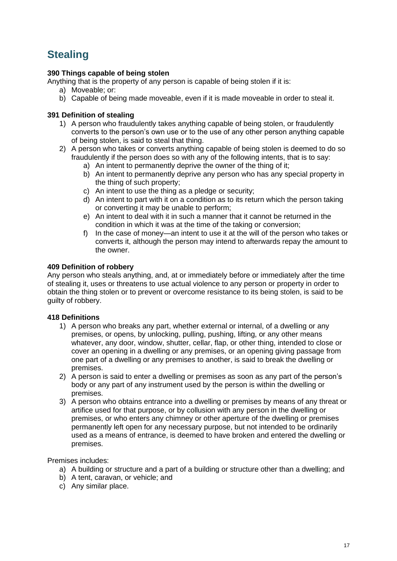## **Stealing**

#### **390 Things capable of being stolen**

Anything that is the property of any person is capable of being stolen if it is:

- a) Moveable; or:
- b) Capable of being made moveable, even if it is made moveable in order to steal it.

#### **391 Definition of stealing**

- 1) A person who fraudulently takes anything capable of being stolen, or fraudulently converts to the person's own use or to the use of any other person anything capable of being stolen, is said to steal that thing.
- 2) A person who takes or converts anything capable of being stolen is deemed to do so fraudulently if the person does so with any of the following intents, that is to say:
	- a) An intent to permanently deprive the owner of the thing of it;
	- b) An intent to permanently deprive any person who has any special property in the thing of such property;
	- c) An intent to use the thing as a pledge or security;
	- d) An intent to part with it on a condition as to its return which the person taking or converting it may be unable to perform;
	- e) An intent to deal with it in such a manner that it cannot be returned in the condition in which it was at the time of the taking or conversion;
	- f) In the case of money—an intent to use it at the will of the person who takes or converts it, although the person may intend to afterwards repay the amount to the owner.

#### **409 Definition of robbery**

Any person who steals anything, and, at or immediately before or immediately after the time of stealing it, uses or threatens to use actual violence to any person or property in order to obtain the thing stolen or to prevent or overcome resistance to its being stolen, is said to be guilty of robbery.

#### **418 Definitions**

- 1) A person who breaks any part, whether external or internal, of a dwelling or any premises, or opens, by unlocking, pulling, pushing, lifting, or any other means whatever, any door, window, shutter, cellar, flap, or other thing, intended to close or cover an opening in a dwelling or any premises, or an opening giving passage from one part of a dwelling or any premises to another, is said to break the dwelling or premises.
- 2) A person is said to enter a dwelling or premises as soon as any part of the person's body or any part of any instrument used by the person is within the dwelling or premises.
- 3) A person who obtains entrance into a dwelling or premises by means of any threat or artifice used for that purpose, or by collusion with any person in the dwelling or premises, or who enters any chimney or other aperture of the dwelling or premises permanently left open for any necessary purpose, but not intended to be ordinarily used as a means of entrance, is deemed to have broken and entered the dwelling or premises.

Premises includes:

- a) A building or structure and a part of a building or structure other than a dwelling; and
- b) A tent, caravan, or vehicle; and
- c) Any similar place.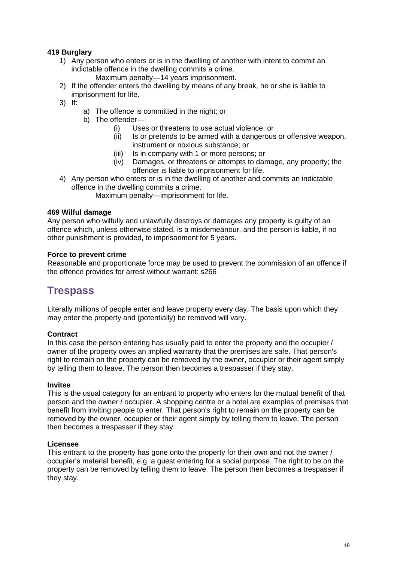#### **419 Burglary**

- 1) Any person who enters or is in the dwelling of another with intent to commit an indictable offence in the dwelling commits a crime.
	- Maximum penalty—14 years imprisonment.
- 2) If the offender enters the dwelling by means of any break, he or she is liable to imprisonment for life.
- 3) If:
- a) The offence is committed in the night; or
- b) The offender—
	- (i) Uses or threatens to use actual violence; or
	- (ii) Is or pretends to be armed with a dangerous or offensive weapon, instrument or noxious substance; or
	- (iii) Is in company with 1 or more persons; or
	- (iv) Damages, or threatens or attempts to damage, any property; the offender is liable to imprisonment for life.
- 4) Any person who enters or is in the dwelling of another and commits an indictable offence in the dwelling commits a crime.

Maximum penalty—imprisonment for life.

#### **469 Wilful damage**

Any person who wilfully and unlawfully destroys or damages any property is guilty of an offence which, unless otherwise stated, is a misdemeanour, and the person is liable, if no other punishment is provided, to imprisonment for 5 years.

#### **Force to prevent crime**

Reasonable and proportionate force may be used to prevent the commission of an offence if the offence provides for arrest without warrant: s266

### **Trespass**

Literally millions of people enter and leave property every day. The basis upon which they may enter the property and (potentially) be removed will vary.

#### **Contract**

In this case the person entering has usually paid to enter the property and the occupier / owner of the property owes an implied warranty that the premises are safe. That person's right to remain on the property can be removed by the owner, occupier or their agent simply by telling them to leave. The person then becomes a trespasser if they stay.

#### **Invitee**

This is the usual category for an entrant to property who enters for the mutual benefit of that person and the owner / occupier. A shopping centre or a hotel are examples of premises that benefit from inviting people to enter. That person's right to remain on the property can be removed by the owner, occupier or their agent simply by telling them to leave. The person then becomes a trespasser if they stay.

#### **Licensee**

This entrant to the property has gone onto the property for their own and not the owner / occupier's material benefit, e.g. a guest entering for a social purpose. The right to be on the property can be removed by telling them to leave. The person then becomes a trespasser if they stay.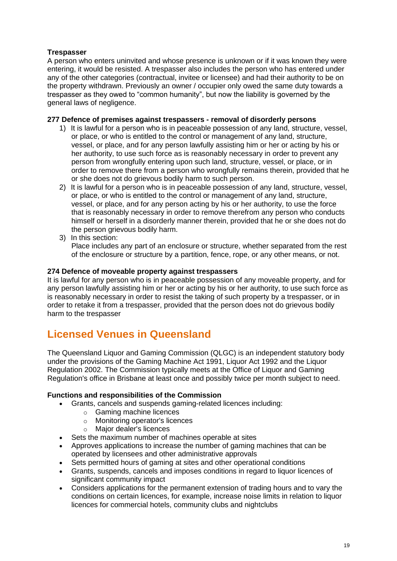#### **Trespasser**

A person who enters uninvited and whose presence is unknown or if it was known they were entering, it would be resisted. A trespasser also includes the person who has entered under any of the other categories (contractual, invitee or licensee) and had their authority to be on the property withdrawn. Previously an owner / occupier only owed the same duty towards a trespasser as they owed to "common humanity", but now the liability is governed by the general laws of negligence.

#### **277 Defence of premises against trespassers - removal of disorderly persons**

- 1) It is lawful for a person who is in peaceable possession of any land, structure, vessel, or place, or who is entitled to the control or management of any land, structure, vessel, or place, and for any person lawfully assisting him or her or acting by his or her authority, to use such force as is reasonably necessary in order to prevent any person from wrongfully entering upon such land, structure, vessel, or place, or in order to remove there from a person who wrongfully remains therein, provided that he or she does not do grievous bodily harm to such person.
- 2) It is lawful for a person who is in peaceable possession of any land, structure, vessel, or place, or who is entitled to the control or management of any land, structure, vessel, or place, and for any person acting by his or her authority, to use the force that is reasonably necessary in order to remove therefrom any person who conducts himself or herself in a disorderly manner therein, provided that he or she does not do the person grievous bodily harm.
- 3) In this section:

Place includes any part of an enclosure or structure, whether separated from the rest of the enclosure or structure by a partition, fence, rope, or any other means, or not.

#### **274 Defence of moveable property against trespassers**

It is lawful for any person who is in peaceable possession of any moveable property, and for any person lawfully assisting him or her or acting by his or her authority, to use such force as is reasonably necessary in order to resist the taking of such property by a trespasser, or in order to retake it from a trespasser, provided that the person does not do grievous bodily harm to the trespasser

## **Licensed Venues in Queensland**

The Queensland Liquor and Gaming Commission (QLGC) is an independent statutory body under the provisions of the Gaming Machine Act 1991, Liquor Act 1992 and the Liquor Regulation 2002. The Commission typically meets at the Office of Liquor and Gaming Regulation's office in Brisbane at least once and possibly twice per month subject to need.

#### **Functions and responsibilities of the Commission**

- Grants, cancels and suspends gaming-related licences including:
	- o Gaming machine licences
	- o Monitoring operator's licences
	- o Major dealer's licences
- Sets the maximum number of machines operable at sites
- Approves applications to increase the number of gaming machines that can be operated by licensees and other administrative approvals
- Sets permitted hours of gaming at sites and other operational conditions
- Grants, suspends, cancels and imposes conditions in regard to liquor licences of significant community impact
- Considers applications for the permanent extension of trading hours and to vary the conditions on certain licences, for example, increase noise limits in relation to liquor licences for commercial hotels, community clubs and nightclubs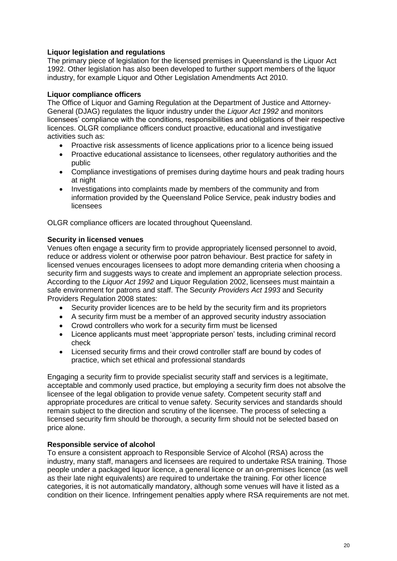#### **Liquor legislation and regulations**

The primary piece of legislation for the licensed premises in Queensland is the Liquor Act 1992. Other legislation has also been developed to further support members of the liquor industry, for example Liquor and Other Legislation Amendments Act 2010.

#### **Liquor compliance officers**

The Office of Liquor and Gaming Regulation at the Department of Justice and Attorney-General (DJAG) regulates the liquor industry under the *Liquor Act 1992* and monitors licensees' compliance with the conditions, responsibilities and obligations of their respective licences. OLGR compliance officers conduct proactive, educational and investigative activities such as:

- Proactive risk assessments of licence applications prior to a licence being issued
- Proactive educational assistance to licensees, other regulatory authorities and the public
- Compliance investigations of premises during daytime hours and peak trading hours at night
- Investigations into complaints made by members of the community and from information provided by the Queensland Police Service, peak industry bodies and licensees

OLGR compliance officers are located throughout Queensland.

#### **Security in licensed venues**

Venues often engage a security firm to provide appropriately licensed personnel to avoid, reduce or address violent or otherwise poor patron behaviour. Best practice for safety in licensed venues encourages licensees to adopt more demanding criteria when choosing a security firm and suggests ways to create and implement an appropriate selection process. According to the *Liquor Act 1992* and Liquor Regulation 2002, licensees must maintain a safe environment for patrons and staff. The S*ecurity Providers Act 1993* and Security Providers Regulation 2008 states:

- Security provider licences are to be held by the security firm and its proprietors
- A security firm must be a member of an approved security industry association
- Crowd controllers who work for a security firm must be licensed
- Licence applicants must meet 'appropriate person' tests, including criminal record check
- Licensed security firms and their crowd controller staff are bound by codes of practice, which set ethical and professional standards

Engaging a security firm to provide specialist security staff and services is a legitimate, acceptable and commonly used practice, but employing a security firm does not absolve the licensee of the legal obligation to provide venue safety. Competent security staff and appropriate procedures are critical to venue safety. Security services and standards should remain subject to the direction and scrutiny of the licensee. The process of selecting a licensed security firm should be thorough, a security firm should not be selected based on price alone.

#### **Responsible service of alcohol**

To ensure a consistent approach to Responsible Service of Alcohol (RSA) across the industry, many staff, managers and licensees are required to undertake RSA training. Those people under a packaged liquor licence, a general licence or an on-premises licence (as well as their late night equivalents) are required to undertake the training. For other licence categories, it is not automatically mandatory, although some venues will have it listed as a condition on their licence. Infringement penalties apply where RSA requirements are not met.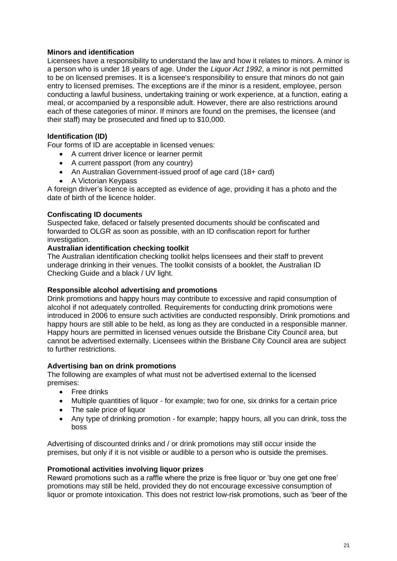#### **Minors and identification**

Licensees have a responsibility to understand the law and how it relates to minors. A minor is a person who is under 18 years of age. Under the *Liquor Act 1992*, a minor is not permitted to be on licensed premises. It is a licensee's responsibility to ensure that minors do not gain entry to licensed premises. The exceptions are if the minor is a resident, employee, person conducting a lawful business, undertaking training or work experience, at a function, eating a meal, or accompanied by a responsible adult. However, there are also restrictions around each of these categories of minor. If minors are found on the premises, the licensee (and their staff) may be prosecuted and fined up to \$10,000.

#### **Identification (ID)**

Four forms of ID are acceptable in licensed venues:

- A current driver licence or learner permit
- A current passport (from any country)
- An Australian Government-issued proof of age card (18+ card)
- A Victorian Keypass

A foreign driver's licence is accepted as evidence of age, providing it has a photo and the date of birth of the licence holder.

#### **Confiscating ID documents**

Suspected fake, defaced or falsely presented documents should be confiscated and forwarded to OLGR as soon as possible, with an ID confiscation report for further investigation.

#### **Australian identification checking toolkit**

The Australian identification checking toolkit helps licensees and their staff to prevent underage drinking in their venues. The toolkit consists of a booklet, the Australian ID Checking Guide and a black / UV light.

#### **Responsible alcohol advertising and promotions**

Drink promotions and happy hours may contribute to excessive and rapid consumption of alcohol if not adequately controlled. Requirements for conducting drink promotions were introduced in 2006 to ensure such activities are conducted responsibly. Drink promotions and happy hours are still able to be held, as long as they are conducted in a responsible manner. Happy hours are permitted in licensed venues outside the Brisbane City Council area, but cannot be advertised externally. Licensees within the Brisbane City Council area are subject to further restrictions.

#### **Advertising ban on drink promotions**

The following are examples of what must not be advertised external to the licensed premises:

- Free drinks
- Multiple quantities of liquor for example; two for one, six drinks for a certain price
- The sale price of liquor
- Any type of drinking promotion for example; happy hours, all you can drink, toss the boss

Advertising of discounted drinks and / or drink promotions may still occur inside the premises, but only if it is not visible or audible to a person who is outside the premises.

#### **Promotional activities involving liquor prizes**

Reward promotions such as a raffle where the prize is free liquor or 'buy one get one free' promotions may still be held, provided they do not encourage excessive consumption of liquor or promote intoxication. This does not restrict low-risk promotions, such as 'beer of the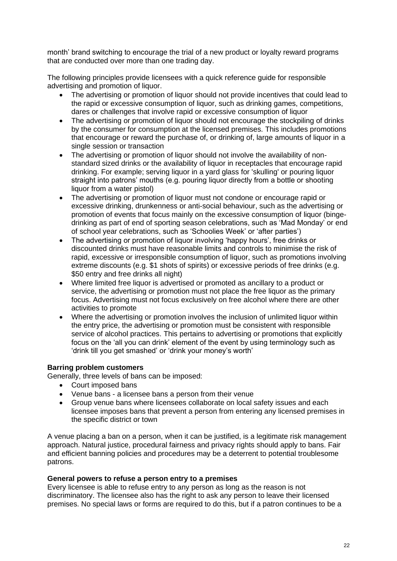month' brand switching to encourage the trial of a new product or loyalty reward programs that are conducted over more than one trading day.

The following principles provide licensees with a quick reference guide for responsible advertising and promotion of liquor.

- The advertising or promotion of liquor should not provide incentives that could lead to the rapid or excessive consumption of liquor, such as drinking games, competitions, dares or challenges that involve rapid or excessive consumption of liquor
- The advertising or promotion of liquor should not encourage the stockpiling of drinks by the consumer for consumption at the licensed premises. This includes promotions that encourage or reward the purchase of, or drinking of, large amounts of liquor in a single session or transaction
- The advertising or promotion of liquor should not involve the availability of nonstandard sized drinks or the availability of liquor in receptacles that encourage rapid drinking. For example; serving liquor in a yard glass for 'skulling' or pouring liquor straight into patrons' mouths (e.g. pouring liquor directly from a bottle or shooting liquor from a water pistol)
- The advertising or promotion of liquor must not condone or encourage rapid or excessive drinking, drunkenness or anti-social behaviour, such as the advertising or promotion of events that focus mainly on the excessive consumption of liquor (bingedrinking as part of end of sporting season celebrations, such as 'Mad Monday' or end of school year celebrations, such as 'Schoolies Week' or 'after parties')
- The advertising or promotion of liquor involving 'happy hours', free drinks or discounted drinks must have reasonable limits and controls to minimise the risk of rapid, excessive or irresponsible consumption of liquor, such as promotions involving extreme discounts (e.g. \$1 shots of spirits) or excessive periods of free drinks (e.g. \$50 entry and free drinks all night)
- Where limited free liquor is advertised or promoted as ancillary to a product or service, the advertising or promotion must not place the free liquor as the primary focus. Advertising must not focus exclusively on free alcohol where there are other activities to promote
- Where the advertising or promotion involves the inclusion of unlimited liquor within the entry price, the advertising or promotion must be consistent with responsible service of alcohol practices. This pertains to advertising or promotions that explicitly focus on the 'all you can drink' element of the event by using terminology such as 'drink till you get smashed' or 'drink your money's worth'

#### **Barring problem customers**

Generally, three levels of bans can be imposed:

- Court imposed bans
- Venue bans a licensee bans a person from their venue
- Group venue bans where licensees collaborate on local safety issues and each licensee imposes bans that prevent a person from entering any licensed premises in the specific district or town

A venue placing a ban on a person, when it can be justified, is a legitimate risk management approach. Natural justice, procedural fairness and privacy rights should apply to bans. Fair and efficient banning policies and procedures may be a deterrent to potential troublesome patrons.

#### **General powers to refuse a person entry to a premises**

Every licensee is able to refuse entry to any person as long as the reason is not discriminatory. The licensee also has the right to ask any person to leave their licensed premises. No special laws or forms are required to do this, but if a patron continues to be a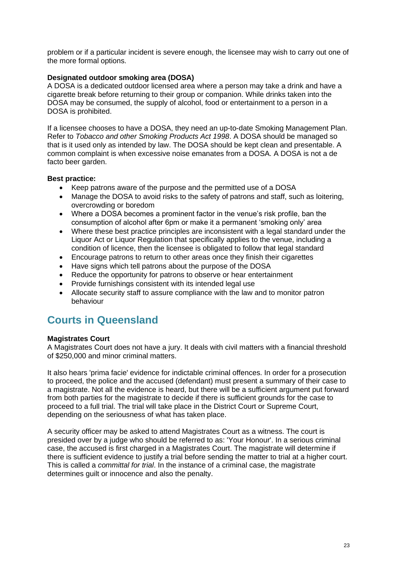problem or if a particular incident is severe enough, the licensee may wish to carry out one of the more formal options.

#### **Designated outdoor smoking area (DOSA)**

A DOSA is a dedicated outdoor licensed area where a person may take a drink and have a cigarette break before returning to their group or companion. While drinks taken into the DOSA may be consumed, the supply of alcohol, food or entertainment to a person in a DOSA is prohibited.

If a licensee chooses to have a DOSA, they need an up-to-date Smoking Management Plan. Refer to *Tobacco and other Smoking Products Act 1998*. A DOSA should be managed so that is it used only as intended by law. The DOSA should be kept clean and presentable. A common complaint is when excessive noise emanates from a DOSA. A DOSA is not a de facto beer garden.

#### **Best practice:**

- Keep patrons aware of the purpose and the permitted use of a DOSA
- Manage the DOSA to avoid risks to the safety of patrons and staff, such as loitering, overcrowding or boredom
- Where a DOSA becomes a prominent factor in the venue's risk profile, ban the consumption of alcohol after 6pm or make it a permanent 'smoking only' area
- Where these best practice principles are inconsistent with a legal standard under the Liquor Act or Liquor Regulation that specifically applies to the venue, including a condition of licence, then the licensee is obligated to follow that legal standard
- Encourage patrons to return to other areas once they finish their cigarettes
- Have signs which tell patrons about the purpose of the DOSA
- Reduce the opportunity for patrons to observe or hear entertainment
- Provide furnishings consistent with its intended legal use
- Allocate security staff to assure compliance with the law and to monitor patron behaviour

## **Courts in Queensland**

#### **Magistrates Court**

A Magistrates Court does not have a jury. It deals with civil matters with a financial threshold of \$250,000 and minor criminal matters.

It also hears 'prima facie' evidence for indictable criminal offences. In order for a prosecution to proceed, the police and the accused (defendant) must present a summary of their case to a magistrate. Not all the evidence is heard, but there will be a sufficient argument put forward from both parties for the magistrate to decide if there is sufficient grounds for the case to proceed to a full trial. The trial will take place in the District Court or Supreme Court, depending on the seriousness of what has taken place.

A security officer may be asked to attend Magistrates Court as a witness. The court is presided over by a judge who should be referred to as: 'Your Honour'. In a serious criminal case, the accused is first charged in a Magistrates Court. The magistrate will determine if there is sufficient evidence to justify a trial before sending the matter to trial at a higher court. This is called a *committal for trial*. In the instance of a criminal case, the magistrate determines guilt or innocence and also the penalty.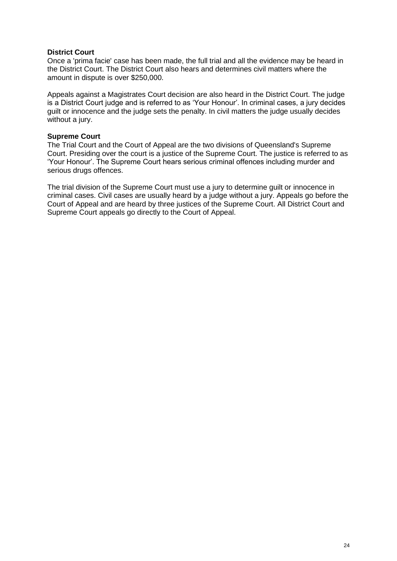#### **District Court**

Once a 'prima facie' case has been made, the full trial and all the evidence may be heard in the District Court. The District Court also hears and determines civil matters where the amount in dispute is over \$250,000.

Appeals against a Magistrates Court decision are also heard in the District Court. The judge is a District Court judge and is referred to as 'Your Honour'. In criminal cases, a jury decides guilt or innocence and the judge sets the penalty. In civil matters the judge usually decides without a jury.

#### **Supreme Court**

The Trial Court and the Court of Appeal are the two divisions of Queensland's Supreme Court. Presiding over the court is a justice of the Supreme Court. The justice is referred to as 'Your Honour'. The Supreme Court hears serious criminal offences including murder and serious drugs offences.

The trial division of the Supreme Court must use a jury to determine guilt or innocence in criminal cases. Civil cases are usually heard by a judge without a jury. Appeals go before the Court of Appeal and are heard by three justices of the Supreme Court. All District Court and Supreme Court appeals go directly to the Court of Appeal.